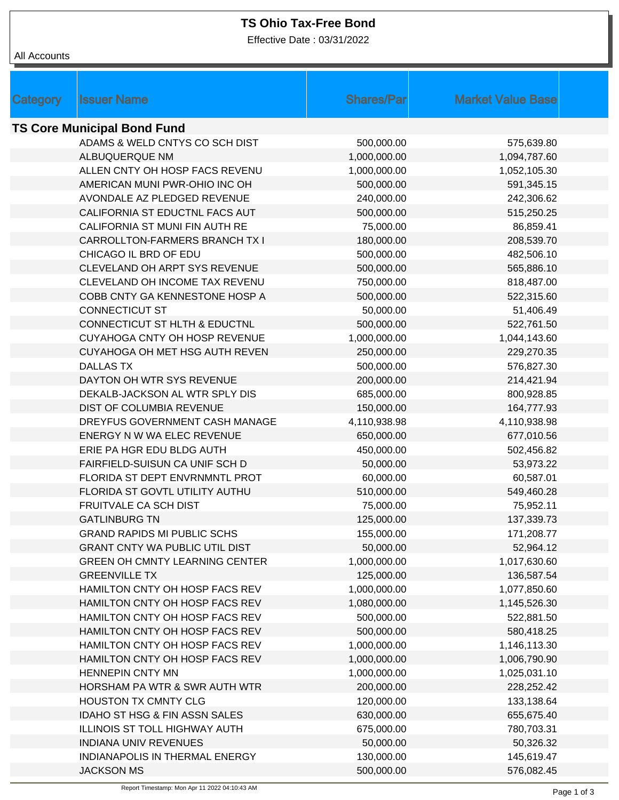## **TS Ohio Tax-Free Bond**

Effective Date : 03/31/2022

| <b>Issuer Name</b><br>Category                                 | <b>Shares/Par</b>       | <b>Market Value Base</b> |  |  |  |  |  |  |
|----------------------------------------------------------------|-------------------------|--------------------------|--|--|--|--|--|--|
| <b>TS Core Municipal Bond Fund</b>                             |                         |                          |  |  |  |  |  |  |
| ADAMS & WELD CNTYS CO SCH DIST                                 | 500,000.00              | 575,639.80               |  |  |  |  |  |  |
| ALBUQUERQUE NM                                                 | 1,000,000.00            | 1,094,787.60             |  |  |  |  |  |  |
| ALLEN CNTY OH HOSP FACS REVENU                                 | 1,000,000.00            | 1,052,105.30             |  |  |  |  |  |  |
| AMERICAN MUNI PWR-OHIO INC OH                                  | 500,000.00              | 591,345.15               |  |  |  |  |  |  |
| AVONDALE AZ PLEDGED REVENUE                                    | 240,000.00              | 242,306.62               |  |  |  |  |  |  |
| CALIFORNIA ST EDUCTNL FACS AUT                                 | 500,000.00              | 515,250.25               |  |  |  |  |  |  |
| CALIFORNIA ST MUNI FIN AUTH RE                                 | 75,000.00               | 86,859.41                |  |  |  |  |  |  |
| CARROLLTON-FARMERS BRANCH TX I                                 | 180,000.00              | 208,539.70               |  |  |  |  |  |  |
| CHICAGO IL BRD OF EDU                                          | 500,000.00              | 482,506.10               |  |  |  |  |  |  |
| CLEVELAND OH ARPT SYS REVENUE                                  | 500,000.00              | 565,886.10               |  |  |  |  |  |  |
| CLEVELAND OH INCOME TAX REVENU                                 | 750,000.00              | 818,487.00               |  |  |  |  |  |  |
| COBB CNTY GA KENNESTONE HOSP A                                 |                         |                          |  |  |  |  |  |  |
| <b>CONNECTICUT ST</b>                                          | 500,000.00<br>50,000.00 | 522,315.60               |  |  |  |  |  |  |
|                                                                |                         | 51,406.49                |  |  |  |  |  |  |
| CONNECTICUT ST HLTH & EDUCTNL<br>CUYAHOGA CNTY OH HOSP REVENUE | 500,000.00              | 522,761.50               |  |  |  |  |  |  |
|                                                                | 1,000,000.00            | 1,044,143.60             |  |  |  |  |  |  |
| CUYAHOGA OH MET HSG AUTH REVEN                                 | 250,000.00              | 229,270.35               |  |  |  |  |  |  |
| <b>DALLAS TX</b>                                               | 500,000.00              | 576,827.30               |  |  |  |  |  |  |
| DAYTON OH WTR SYS REVENUE                                      | 200,000.00              | 214,421.94               |  |  |  |  |  |  |
| DEKALB-JACKSON AL WTR SPLY DIS                                 | 685,000.00              | 800,928.85               |  |  |  |  |  |  |
| DIST OF COLUMBIA REVENUE                                       | 150,000.00              | 164,777.93               |  |  |  |  |  |  |
| DREYFUS GOVERNMENT CASH MANAGE                                 | 4,110,938.98            | 4,110,938.98             |  |  |  |  |  |  |
| ENERGY N W WA ELEC REVENUE                                     | 650,000.00              | 677,010.56               |  |  |  |  |  |  |
| ERIE PA HGR EDU BLDG AUTH                                      | 450,000.00              | 502,456.82               |  |  |  |  |  |  |
| FAIRFIELD-SUISUN CA UNIF SCH D                                 | 50,000.00               | 53,973.22                |  |  |  |  |  |  |
| FLORIDA ST DEPT ENVRNMNTL PROT                                 | 60,000.00               | 60,587.01                |  |  |  |  |  |  |
| FLORIDA ST GOVTL UTILITY AUTHU                                 | 510,000.00              | 549,460.28               |  |  |  |  |  |  |
| FRUITVALE CA SCH DIST                                          | 75,000.00               | 75,952.11                |  |  |  |  |  |  |
| <b>GATLINBURG TN</b>                                           | 125,000.00              | 137,339.73               |  |  |  |  |  |  |
| <b>GRAND RAPIDS MI PUBLIC SCHS</b>                             | 155,000.00              | 171,208.77               |  |  |  |  |  |  |
| <b>GRANT CNTY WA PUBLIC UTIL DIST</b>                          | 50,000.00               | 52,964.12                |  |  |  |  |  |  |
| <b>GREEN OH CMNTY LEARNING CENTER</b>                          | 1,000,000.00            | 1,017,630.60             |  |  |  |  |  |  |
| <b>GREENVILLE TX</b>                                           | 125,000.00              | 136,587.54               |  |  |  |  |  |  |
| HAMILTON CNTY OH HOSP FACS REV                                 | 1,000,000.00            | 1,077,850.60             |  |  |  |  |  |  |
| HAMILTON CNTY OH HOSP FACS REV                                 | 1,080,000.00            | 1,145,526.30             |  |  |  |  |  |  |
| HAMILTON CNTY OH HOSP FACS REV                                 | 500,000.00              | 522,881.50               |  |  |  |  |  |  |
| HAMILTON CNTY OH HOSP FACS REV                                 | 500,000.00              | 580,418.25               |  |  |  |  |  |  |
| HAMILTON CNTY OH HOSP FACS REV                                 | 1,000,000.00            | 1,146,113.30             |  |  |  |  |  |  |
| HAMILTON CNTY OH HOSP FACS REV                                 | 1,000,000.00            | 1,006,790.90             |  |  |  |  |  |  |
| <b>HENNEPIN CNTY MN</b>                                        | 1,000,000.00            | 1,025,031.10             |  |  |  |  |  |  |
| HORSHAM PA WTR & SWR AUTH WTR                                  | 200,000.00              | 228,252.42               |  |  |  |  |  |  |
| <b>HOUSTON TX CMNTY CLG</b>                                    | 120,000.00              | 133,138.64               |  |  |  |  |  |  |
| IDAHO ST HSG & FIN ASSN SALES                                  | 630,000.00              | 655,675.40               |  |  |  |  |  |  |
| ILLINOIS ST TOLL HIGHWAY AUTH                                  | 675,000.00              | 780,703.31               |  |  |  |  |  |  |
| <b>INDIANA UNIV REVENUES</b>                                   | 50,000.00               | 50,326.32                |  |  |  |  |  |  |
| INDIANAPOLIS IN THERMAL ENERGY                                 | 130,000.00              | 145,619.47               |  |  |  |  |  |  |
| <b>JACKSON MS</b>                                              | 500,000.00              | 576,082.45               |  |  |  |  |  |  |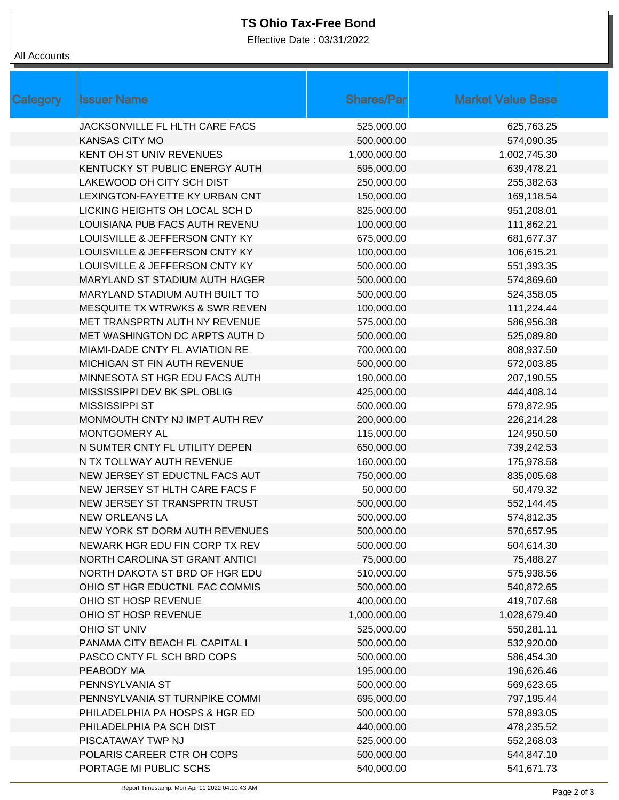# **TS Ohio Tax-Free Bond**

Effective Date : 03/31/2022

#### All Accounts

| Category | <b>Issuer Name</b>                        | <b>Shares/Par</b> | <b>Market Value Base</b> |
|----------|-------------------------------------------|-------------------|--------------------------|
|          | JACKSONVILLE FL HLTH CARE FACS            | 525,000.00        | 625,763.25               |
|          | <b>KANSAS CITY MO</b>                     | 500,000.00        | 574,090.35               |
|          | KENT OH ST UNIV REVENUES                  | 1,000,000.00      | 1,002,745.30             |
|          | KENTUCKY ST PUBLIC ENERGY AUTH            | 595,000.00        | 639,478.21               |
|          | LAKEWOOD OH CITY SCH DIST                 | 250,000.00        | 255,382.63               |
|          | LEXINGTON-FAYETTE KY URBAN CNT            | 150,000.00        | 169,118.54               |
|          | LICKING HEIGHTS OH LOCAL SCH D            | 825,000.00        | 951,208.01               |
|          | LOUISIANA PUB FACS AUTH REVENU            | 100,000.00        | 111,862.21               |
|          | LOUISVILLE & JEFFERSON CNTY KY            | 675,000.00        | 681,677.37               |
|          | LOUISVILLE & JEFFERSON CNTY KY            | 100,000.00        | 106,615.21               |
|          | LOUISVILLE & JEFFERSON CNTY KY            | 500,000.00        | 551,393.35               |
|          | MARYLAND ST STADIUM AUTH HAGER            | 500,000.00        | 574,869.60               |
|          | MARYLAND STADIUM AUTH BUILT TO            | 500,000.00        | 524,358.05               |
|          | <b>MESQUITE TX WTRWKS &amp; SWR REVEN</b> | 100,000.00        | 111,224.44               |
|          | MET TRANSPRTN AUTH NY REVENUE             | 575,000.00        | 586,956.38               |
|          | MET WASHINGTON DC ARPTS AUTH D            | 500,000.00        | 525,089.80               |
|          | MIAMI-DADE CNTY FL AVIATION RE            | 700,000.00        | 808,937.50               |
|          | MICHIGAN ST FIN AUTH REVENUE              | 500,000.00        | 572,003.85               |
|          | MINNESOTA ST HGR EDU FACS AUTH            | 190,000.00        | 207,190.55               |
|          | MISSISSIPPI DEV BK SPL OBLIG              | 425,000.00        | 444,408.14               |
|          | <b>MISSISSIPPI ST</b>                     | 500,000.00        | 579,872.95               |
|          | MONMOUTH CNTY NJ IMPT AUTH REV            | 200,000.00        | 226,214.28               |
|          | MONTGOMERY AL                             | 115,000.00        | 124,950.50               |
|          | N SUMTER CNTY FL UTILITY DEPEN            | 650,000.00        | 739,242.53               |
|          | N TX TOLLWAY AUTH REVENUE                 | 160,000.00        | 175,978.58               |
|          | NEW JERSEY ST EDUCTNL FACS AUT            | 750,000.00        | 835,005.68               |
|          | NEW JERSEY ST HLTH CARE FACS F            | 50,000.00         | 50,479.32                |
|          | NEW JERSEY ST TRANSPRTN TRUST             | 500,000.00        | 552,144.45               |
|          | <b>NEW ORLEANS LA</b>                     | 500,000.00        | 574,812.35               |
|          | NEW YORK ST DORM AUTH REVENUES            | 500,000.00        | 570,657.95               |
|          | NEWARK HGR EDU FIN CORP TX REV            | 500,000.00        | 504,614.30               |
|          | NORTH CAROLINA ST GRANT ANTICI            | 75,000.00         | 75,488.27                |
|          | NORTH DAKOTA ST BRD OF HGR EDU            | 510,000.00        | 575,938.56               |
|          | OHIO ST HGR EDUCTNL FAC COMMIS            | 500,000.00        | 540,872.65               |
|          | OHIO ST HOSP REVENUE                      | 400,000.00        | 419,707.68               |
|          | OHIO ST HOSP REVENUE                      | 1,000,000.00      | 1,028,679.40             |
|          | OHIO ST UNIV                              | 525,000.00        | 550,281.11               |
|          | PANAMA CITY BEACH FL CAPITAL I            | 500,000.00        | 532,920.00               |
|          | PASCO CNTY FL SCH BRD COPS                | 500,000.00        | 586,454.30               |
|          | PEABODY MA                                | 195,000.00        | 196,626.46               |
|          | PENNSYLVANIA ST                           | 500,000.00        | 569,623.65               |
|          | PENNSYLVANIA ST TURNPIKE COMMI            | 695,000.00        | 797,195.44               |
|          | PHILADELPHIA PA HOSPS & HGR ED            | 500,000.00        | 578,893.05               |
|          | PHILADELPHIA PA SCH DIST                  | 440,000.00        | 478,235.52               |
|          | PISCATAWAY TWP NJ                         | 525,000.00        | 552,268.03               |
|          | POLARIS CAREER CTR OH COPS                | 500,000.00        | 544,847.10               |
|          | PORTAGE MI PUBLIC SCHS                    | 540,000.00        | 541,671.73               |